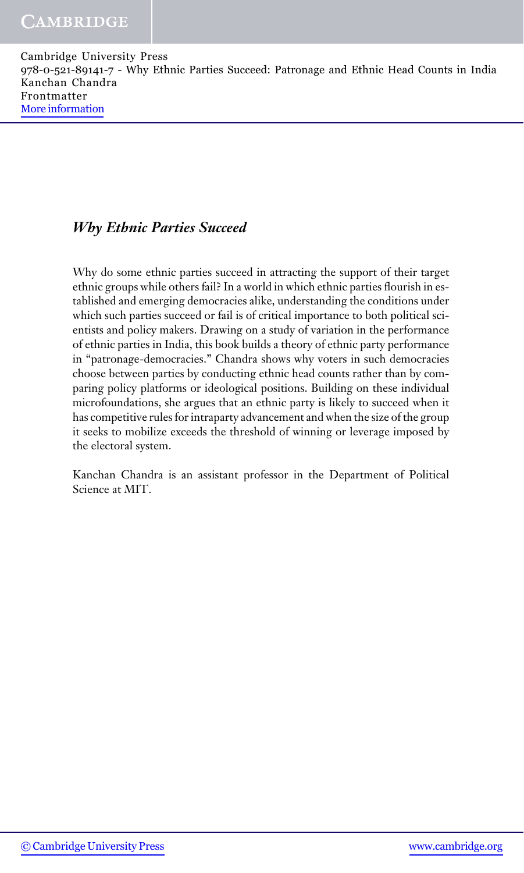### *Why Ethnic Parties Succeed*

Why do some ethnic parties succeed in attracting the support of their target ethnic groups while others fail? In a world in which ethnic parties flourish in established and emerging democracies alike, understanding the conditions under which such parties succeed or fail is of critical importance to both political scientists and policy makers. Drawing on a study of variation in the performance of ethnic parties in India, this book builds a theory of ethnic party performance in "patronage-democracies." Chandra shows why voters in such democracies choose between parties by conducting ethnic head counts rather than by comparing policy platforms or ideological positions. Building on these individual microfoundations, she argues that an ethnic party is likely to succeed when it has competitive rules for intraparty advancement and when the size of the group it seeks to mobilize exceeds the threshold of winning or leverage imposed by the electoral system.

Kanchan Chandra is an assistant professor in the Department of Political Science at MIT.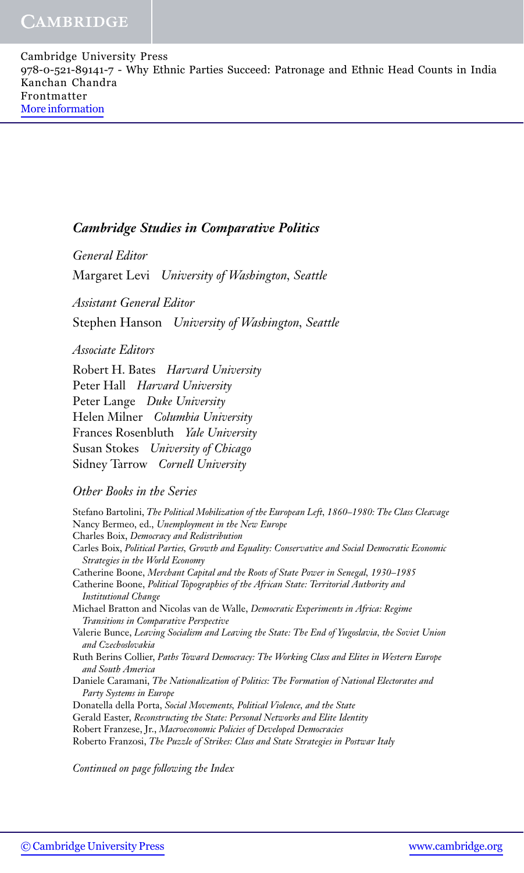### *Cambridge Studies in Comparative Politics*

*General Editor*

Margaret Levi *University of Washington, Seattle*

*Assistant General Editor*

Stephen Hanson *University of Washington, Seattle*

*Associate Editors*

Robert H. Bates *Harvard University* Peter Hall *Harvard University* Peter Lange *Duke University* Helen Milner *Columbia University* Frances Rosenbluth *Yale University* Susan Stokes *University of Chicago* Sidney Tarrow *Cornell University*

### *Other Books in the Series*

Stefano Bartolini, *The Political Mobilization of the European Left, 1860–1980: The Class Cleavage* Nancy Bermeo, ed., *Unemployment in the New Europe* Charles Boix, *Democracy and Redistribution* Carles Boix, *Political Parties, Growth and Equality: Conservative and Social Democratic Economic Strategies in the World Economy* Catherine Boone, *Merchant Capital and the Roots of State Power in Senegal, 1930–1985* Catherine Boone, *Political Topographies of the African State: Territorial Authority and Institutional Change* Michael Bratton and Nicolas van de Walle, *Democratic Experiments in Africa: Regime Transitions in Comparative Perspective* Valerie Bunce, *Leaving Socialism and Leaving the State: The End of Yugoslavia, the Soviet Union and Czechoslovakia* Ruth Berins Collier, *Paths Toward Democracy: The Working Class and Elites in Western Europe and South America* Daniele Caramani, *The Nationalization of Politics: The Formation of National Electorates and Party Systems in Europe* Donatella della Porta, *Social Movements, Political Violence, and the State* Gerald Easter, *Reconstructing the State: Personal Networks and Elite Identity* Robert Franzese, Jr., *Macroeconomic Policies of Developed Democracies* Roberto Franzosi, *The Puzzle of Strikes: Class and State Strategies in Postwar Italy*

*Continued on page following the Index*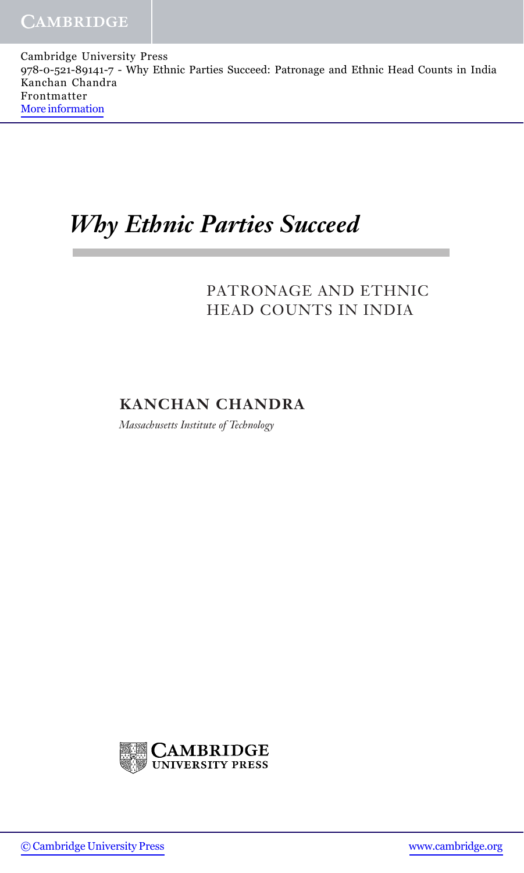# *Why Ethnic Parties Succeed*

## PATRONAGE AND ETHNIC HEAD COUNTS IN INDIA

## **KANCHAN CHANDRA**

*Massachusetts Institute of Technology*

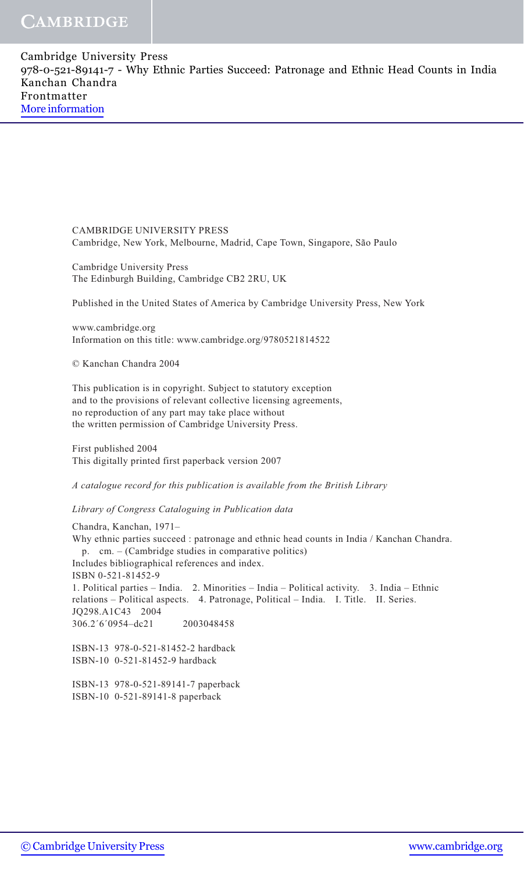| Cambridge University Press                                                                |  |
|-------------------------------------------------------------------------------------------|--|
| 978-0-521-89141-7 - Why Ethnic Parties Succeed: Patronage and Ethnic Head Counts in India |  |
| Kanchan Chandra                                                                           |  |
| Frontmatter                                                                               |  |
| More information                                                                          |  |
|                                                                                           |  |

CAMBRIDGE UNIVERSITY PRESS Cambridge, New York, Melbourne, Madrid, Cape Town, Singapore, São Paulo

Cambridge University Press The Edinburgh Building, Cambridge CB2 2RU, UK

Published in the United States of America by Cambridge University Press, New York

www.cambridge.org Information on this title: www.cambridge.org/9780521814522

© Kanchan Chandra 2004

This publication is in copyright. Subject to statutory exception and to the provisions of relevant collective licensing agreements, no reproduction of any part may take place without the written permission of Cambridge University Press.

First published 2004 This digitally printed first paperback version 2007

*A catalogue record for this publication is available from the British Library*

*Library of Congress Cataloguing in Publication data*

Chandra, Kanchan, 1971– Why ethnic parties succeed : patronage and ethnic head counts in India / Kanchan Chandra. p. cm. – (Cambridge studies in comparative politics) Includes bibliographical references and index. ISBN 0-521-81452-9 1. Political parties – India. 2. Minorities – India – Political activity. 3. India – Ethnic relations – Political aspects. 4. Patronage, Political – India. I. Title. II. Series. JQ298.A1C43 2004 306.2´6´0954–dc21 2003048458 ISBN-13 978-0-521-81452-2 hardback ISBN-10 0-521-81452-9 hardback

ISBN-13 978-0-521-89141-7 paperback ISBN-10 0-521-89141-8 paperback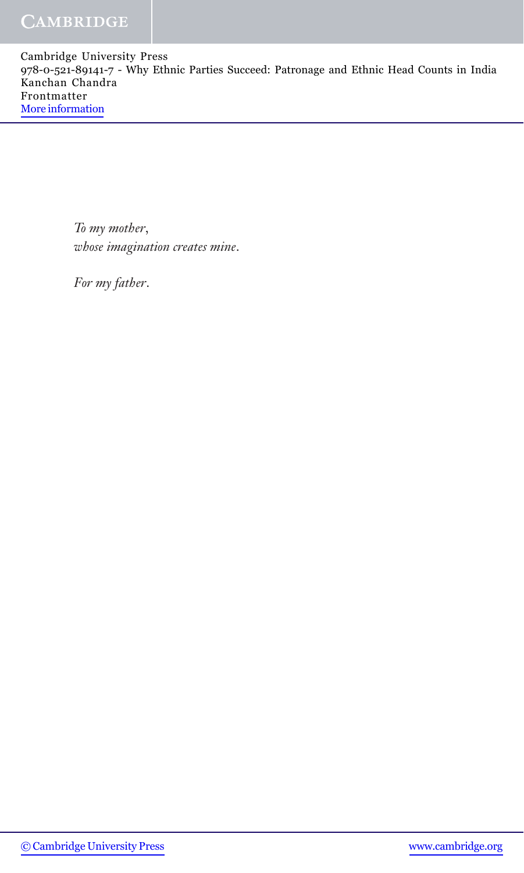> *To my mother*, *whose imagination creates mine*.

*For my father*.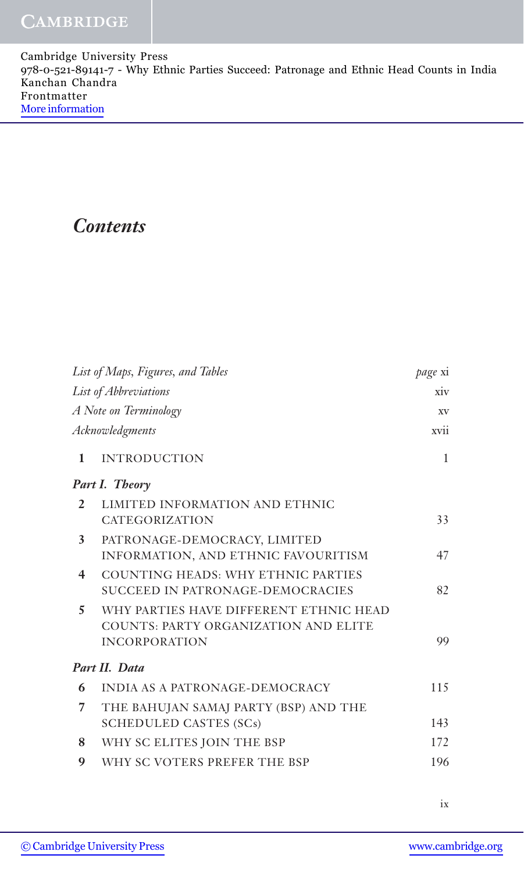# *Contents*

| List of Maps, Figures, and Tables                                                                      | page xi |
|--------------------------------------------------------------------------------------------------------|---------|
| List of Abbreviations                                                                                  |         |
| A Note on Terminology                                                                                  | XV      |
| Acknowledgments                                                                                        | xvii    |
| <b>INTRODUCTION</b>                                                                                    | 1       |
| Part I. Theory                                                                                         |         |
| LIMITED INFORMATION AND ETHNIC<br><b>CATEGORIZATION</b>                                                | 33      |
| PATRONAGE-DEMOCRACY, LIMITED<br>INFORMATION, AND ETHNIC FAVOURITISM                                    | 47      |
| COUNTING HEADS: WHY ETHNIC PARTIES<br>SUCCEED IN PATRONAGE-DEMOCRACIES                                 | 82      |
| WHY PARTIES HAVE DIFFERENT ETHNIC HEAD<br>COUNTS: PARTY ORGANIZATION AND ELITE<br><b>INCORPORATION</b> | 99      |
| Part II. Data                                                                                          |         |
| INDIA AS A PATRONAGE-DEMOCRACY                                                                         | 115     |
| THE BAHUJAN SAMAJ PARTY (BSP) AND THE                                                                  |         |
| <b>SCHEDULED CASTES (SCs)</b>                                                                          | 143     |
| WHY SC ELITES JOIN THE BSP                                                                             | 172     |
| WHY SC VOTERS PREFER THE BSP                                                                           | 196     |
|                                                                                                        |         |

ix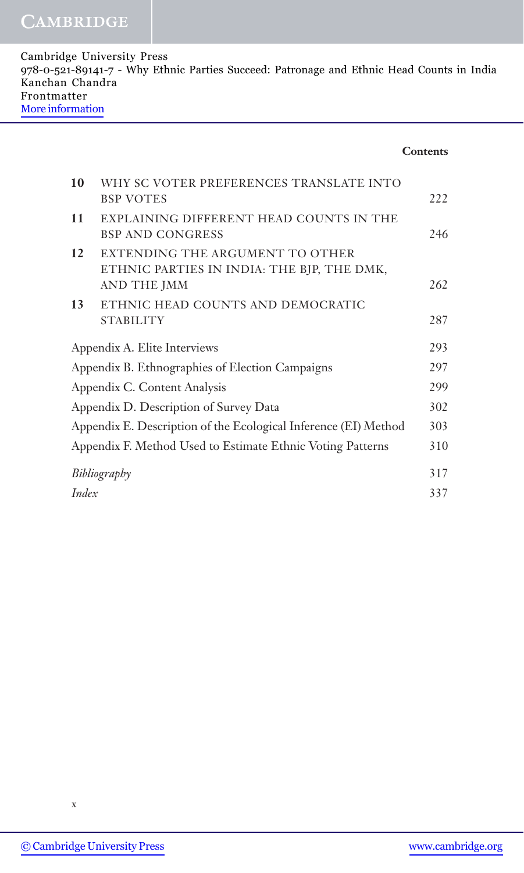| Cambridge University Press                                                                |  |
|-------------------------------------------------------------------------------------------|--|
| 978-0-521-89141-7 - Why Ethnic Parties Succeed: Patronage and Ethnic Head Counts in India |  |
| Kanchan Chandra                                                                           |  |
| Frontmatter                                                                               |  |
| More information                                                                          |  |
|                                                                                           |  |

|                                        |                                                                                              | <b>Contents</b> |
|----------------------------------------|----------------------------------------------------------------------------------------------|-----------------|
| 10                                     | WHY SC VOTER PREFERENCES TRANSLATE INTO<br><b>BSP VOTES</b>                                  | 222             |
| 11                                     | EXPLAINING DIFFERENT HEAD COUNTS IN THE<br><b>BSP AND CONGRESS</b>                           | 246             |
| 12                                     | EXTENDING THE ARGUMENT TO OTHER<br>ETHNIC PARTIES IN INDIA: THE BJP, THE DMK,<br>AND THE JMM | 262             |
| 13                                     | ETHNIC HEAD COUNTS AND DEMOCRATIC<br><b>STABILITY</b>                                        | 287             |
|                                        | Appendix A. Elite Interviews                                                                 | 293             |
|                                        | Appendix B. Ethnographies of Election Campaigns                                              | 297             |
|                                        | Appendix C. Content Analysis                                                                 | 299             |
| Appendix D. Description of Survey Data |                                                                                              | 302             |
|                                        | Appendix E. Description of the Ecological Inference (EI) Method                              | 303             |
|                                        | Appendix F. Method Used to Estimate Ethnic Voting Patterns                                   | 310             |
|                                        | Bibliography                                                                                 | 317             |
| <i>Index</i>                           |                                                                                              | 337             |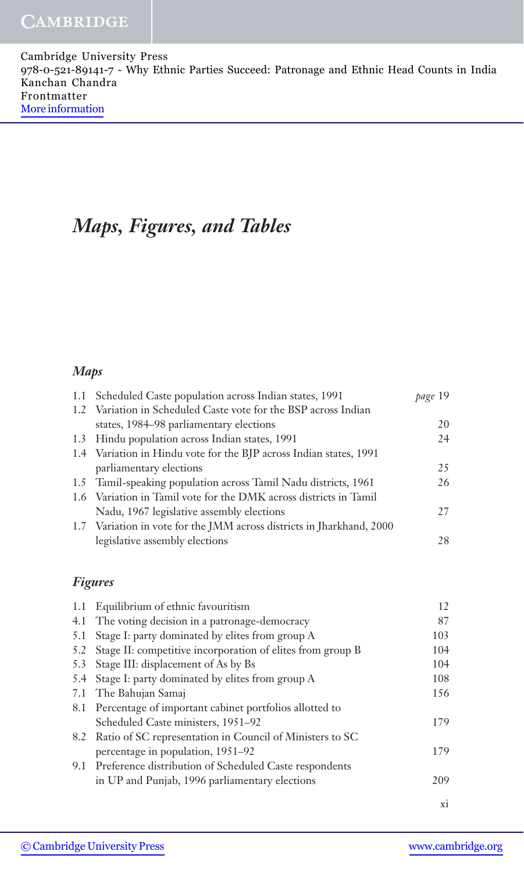# *Maps, Figures, and Tables*

#### *Maps*

| 1.1 Scheduled Caste population across Indian states, 1991             | page 19 |
|-----------------------------------------------------------------------|---------|
| 1.2 Variation in Scheduled Caste vote for the BSP across Indian       |         |
| states, 1984-98 parliamentary elections                               | 20      |
| 1.3 Hindu population across Indian states, 1991                       | 24      |
| 1.4 Variation in Hindu vote for the BJP across Indian states, 1991    |         |
| parliamentary elections                                               | 25      |
| 1.5 Tamil-speaking population across Tamil Nadu districts, 1961       | 26      |
| 1.6 Variation in Tamil vote for the DMK across districts in Tamil     |         |
| Nadu, 1967 legislative assembly elections                             | 27      |
| 1.7 Variation in vote for the JMM across districts in Jharkhand, 2000 |         |
| legislative assembly elections                                        | 28      |

### *Figures*

| 1.1 | Equilibrium of ethnic favouritism                          | 12  |
|-----|------------------------------------------------------------|-----|
| 4.1 | The voting decision in a patronage-democracy               | 87  |
| 5.1 | Stage I: party dominated by elites from group A            | 103 |
| 5.2 | Stage II: competitive incorporation of elites from group B | 104 |
| 5.3 | Stage III: displacement of As by Bs                        | 104 |
|     | 5.4 Stage I: party dominated by elites from group A        | 108 |
|     | 7.1 The Bahujan Samaj                                      | 156 |
|     | 8.1 Percentage of important cabinet portfolios allotted to |     |
|     | Scheduled Caste ministers, 1951–92                         | 179 |
| 8.2 | Ratio of SC representation in Council of Ministers to SC   |     |
|     | percentage in population, 1951-92                          | 179 |
|     | 9.1 Preference distribution of Scheduled Caste respondents |     |
|     | in UP and Punjab, 1996 parliamentary elections             | 209 |
|     |                                                            |     |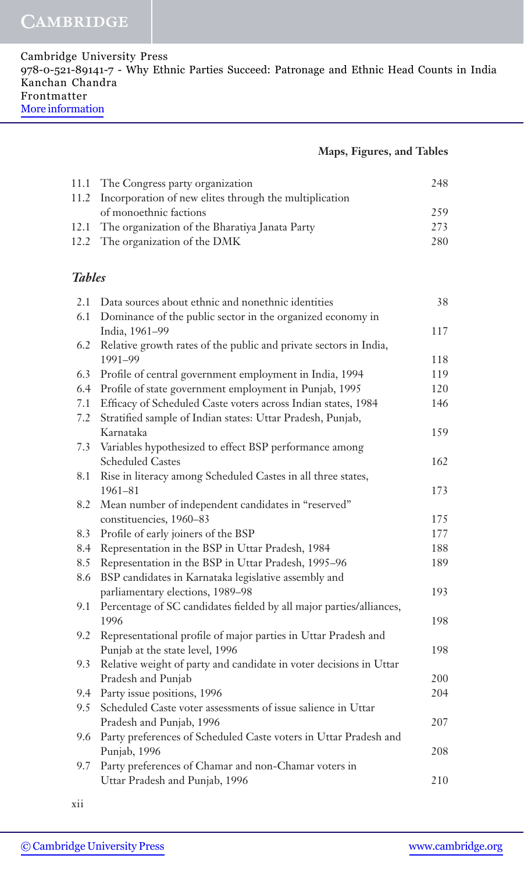#### **Maps, Figures, and Tables**

| 259 |
|-----|
| 273 |
| 280 |
|     |

#### *Tables*

| 2.1 | Data sources about ethnic and nonethnic identities                  | 38  |
|-----|---------------------------------------------------------------------|-----|
| 6.1 | Dominance of the public sector in the organized economy in          |     |
|     | India, 1961-99                                                      | 117 |
| 6.2 | Relative growth rates of the public and private sectors in India,   |     |
|     | 1991-99                                                             | 118 |
| 6.3 | Profile of central government employment in India, 1994             | 119 |
| 6.4 | Profile of state government employment in Punjab, 1995              | 120 |
| 7.1 | Efficacy of Scheduled Caste voters across Indian states, 1984       | 146 |
| 7.2 | Stratified sample of Indian states: Uttar Pradesh, Punjab,          |     |
|     | Karnataka                                                           | 159 |
| 7.3 | Variables hypothesized to effect BSP performance among              |     |
|     | <b>Scheduled Castes</b>                                             | 162 |
| 8.1 | Rise in literacy among Scheduled Castes in all three states,        |     |
|     | 1961-81                                                             | 173 |
| 8.2 | Mean number of independent candidates in "reserved"                 |     |
|     | constituencies, 1960-83                                             | 175 |
| 8.3 | Profile of early joiners of the BSP                                 | 177 |
| 8.4 | Representation in the BSP in Uttar Pradesh, 1984                    | 188 |
| 8.5 | Representation in the BSP in Uttar Pradesh, 1995-96                 | 189 |
| 8.6 | BSP candidates in Karnataka legislative assembly and                |     |
|     | parliamentary elections, 1989-98                                    | 193 |
| 9.1 | Percentage of SC candidates fielded by all major parties/alliances, |     |
|     | 1996                                                                | 198 |
| 9.2 | Representational profile of major parties in Uttar Pradesh and      |     |
|     | Punjab at the state level, 1996                                     | 198 |
| 9.3 | Relative weight of party and candidate in voter decisions in Uttar  |     |
|     | Pradesh and Punjab                                                  | 200 |
| 9.4 | Party issue positions, 1996                                         | 204 |
| 9.5 | Scheduled Caste voter assessments of issue salience in Uttar        |     |
|     | Pradesh and Punjab, 1996                                            | 207 |
| 9.6 | Party preferences of Scheduled Caste voters in Uttar Pradesh and    |     |
|     | Punjab, 1996                                                        | 208 |
| 9.7 | Party preferences of Chamar and non-Chamar voters in                |     |
|     | Uttar Pradesh and Punjab, 1996                                      | 210 |
|     |                                                                     |     |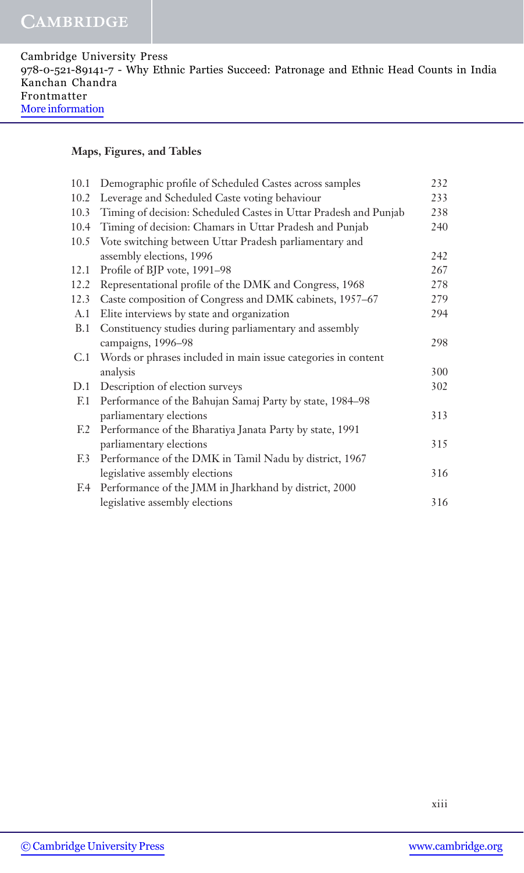### **Maps, Figures, and Tables**

| 10.1           | Demographic profile of Scheduled Castes across samples           | 232 |
|----------------|------------------------------------------------------------------|-----|
| 10.2           | Leverage and Scheduled Caste voting behaviour                    | 233 |
| 10.3           | Timing of decision: Scheduled Castes in Uttar Pradesh and Punjab | 238 |
| 10.4           | Timing of decision: Chamars in Uttar Pradesh and Punjab          | 240 |
| 10.5           | Vote switching between Uttar Pradesh parliamentary and           |     |
|                | assembly elections, 1996                                         | 242 |
| 12.1           | Profile of BJP vote, 1991-98                                     | 267 |
| 12.2           | Representational profile of the DMK and Congress, 1968           | 278 |
| 12.3           | Caste composition of Congress and DMK cabinets, 1957-67          | 279 |
| A.1            | Elite interviews by state and organization                       | 294 |
| <b>B.1</b>     | Constituency studies during parliamentary and assembly           |     |
|                | campaigns, 1996-98                                               | 298 |
| C.1            | Words or phrases included in main issue categories in content    |     |
|                | analysis                                                         | 300 |
| D.1            | Description of election surveys                                  | 302 |
| F <sub>1</sub> | Performance of the Bahujan Samaj Party by state, 1984-98         |     |
|                | parliamentary elections                                          | 313 |
| F <sub>1</sub> | Performance of the Bharatiya Janata Party by state, 1991         |     |
|                | parliamentary elections                                          | 315 |
| F.3            | Performance of the DMK in Tamil Nadu by district, 1967           |     |
|                | legislative assembly elections                                   | 316 |
| F.4            | Performance of the JMM in Jharkhand by district, 2000            |     |
|                | legislative assembly elections                                   | 316 |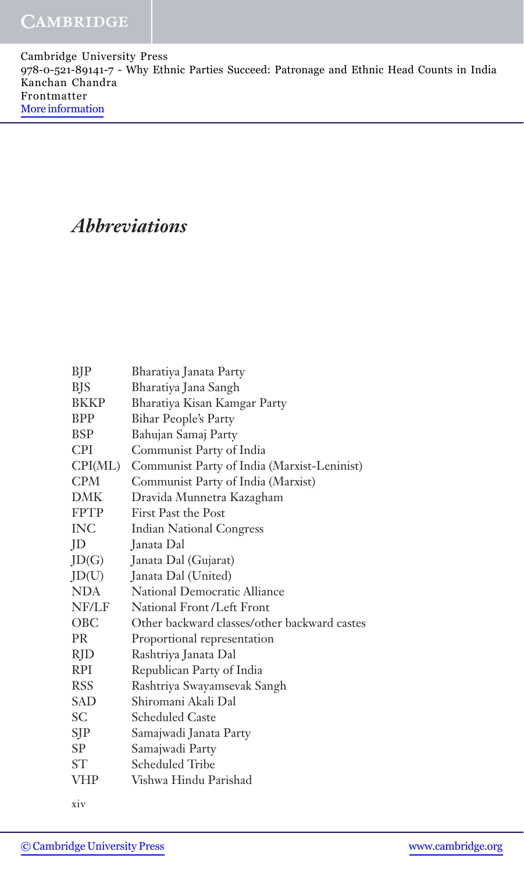# *Abbreviations*

| BJP         | Bharatiya Janata Party                       |
|-------------|----------------------------------------------|
| <b>BJS</b>  | Bharatiya Jana Sangh                         |
| <b>BKKP</b> | Bharatiya Kisan Kamgar Party                 |
| <b>BPP</b>  | <b>Bihar People's Party</b>                  |
| <b>BSP</b>  | Bahujan Samaj Party                          |
| <b>CPI</b>  | Communist Party of India                     |
| CPI(ML)     | Communist Party of India (Marxist-Leninist)  |
| <b>CPM</b>  | Communist Party of India (Marxist)           |
| DMK         | Dravida Munnetra Kazagham                    |
| <b>FPTP</b> | <b>First Past the Post</b>                   |
| <b>INC</b>  | <b>Indian National Congress</b>              |
| JD          | Janata Dal                                   |
| JD(G)       | Janata Dal (Gujarat)                         |
| JD(U)       | Janata Dal (United)                          |
| <b>NDA</b>  | National Democratic Alliance                 |
| NF/LF       | National Front/Left Front                    |
| OBC         | Other backward classes/other backward castes |
| <b>PR</b>   | Proportional representation                  |
| <b>RJD</b>  | Rashtriya Janata Dal                         |
| <b>RPI</b>  | Republican Party of India                    |
| <b>RSS</b>  | Rashtriya Swayamsevak Sangh                  |
| <b>SAD</b>  | Shiromani Akali Dal                          |
| <b>SC</b>   | <b>Scheduled Caste</b>                       |
| <b>SJP</b>  | Samajwadi Janata Party                       |
| SP          | Samajwadi Party                              |
| <b>ST</b>   | <b>Scheduled Tribe</b>                       |
| <b>VHP</b>  | Vishwa Hindu Parishad                        |
|             |                                              |

xiv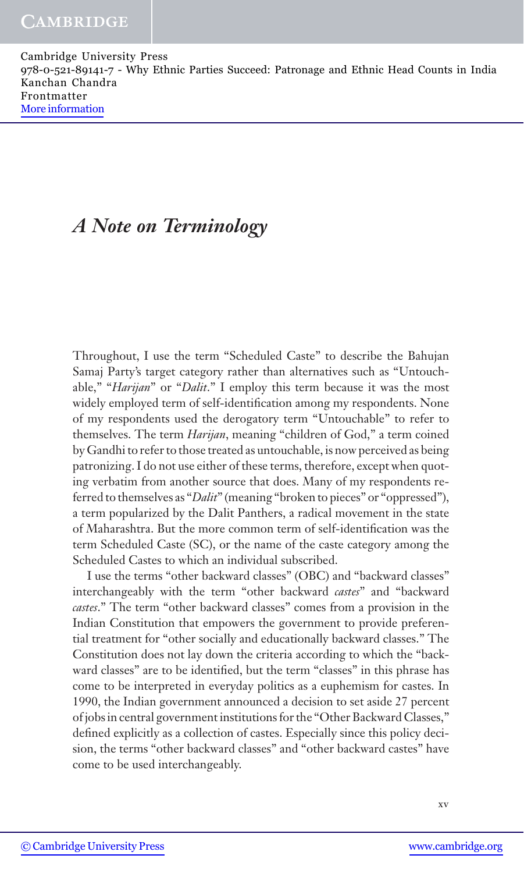# *A Note on Terminology*

Throughout, I use the term "Scheduled Caste" to describe the Bahujan Samaj Party's target category rather than alternatives such as "Untouchable," "*Harijan*" or "*Dalit*." I employ this term because it was the most widely employed term of self-identification among my respondents. None of my respondents used the derogatory term "Untouchable" to refer to themselves. The term *Harijan*, meaning "children of God," a term coined by Gandhi to refer to those treated as untouchable, is now perceived as being patronizing. I do not use either of these terms, therefore, except when quoting verbatim from another source that does. Many of my respondents referred to themselves as "*Dalit*" (meaning "broken to pieces" or "oppressed"), a term popularized by the Dalit Panthers, a radical movement in the state of Maharashtra. But the more common term of self-identification was the term Scheduled Caste (SC), or the name of the caste category among the Scheduled Castes to which an individual subscribed.

I use the terms "other backward classes" (OBC) and "backward classes" interchangeably with the term "other backward *castes*" and "backward *castes*." The term "other backward classes" comes from a provision in the Indian Constitution that empowers the government to provide preferential treatment for "other socially and educationally backward classes." The Constitution does not lay down the criteria according to which the "backward classes" are to be identified, but the term "classes" in this phrase has come to be interpreted in everyday politics as a euphemism for castes. In 1990, the Indian government announced a decision to set aside 27 percent of jobs in central government institutions for the "Other Backward Classes," defined explicitly as a collection of castes. Especially since this policy decision, the terms "other backward classes" and "other backward castes" have come to be used interchangeably.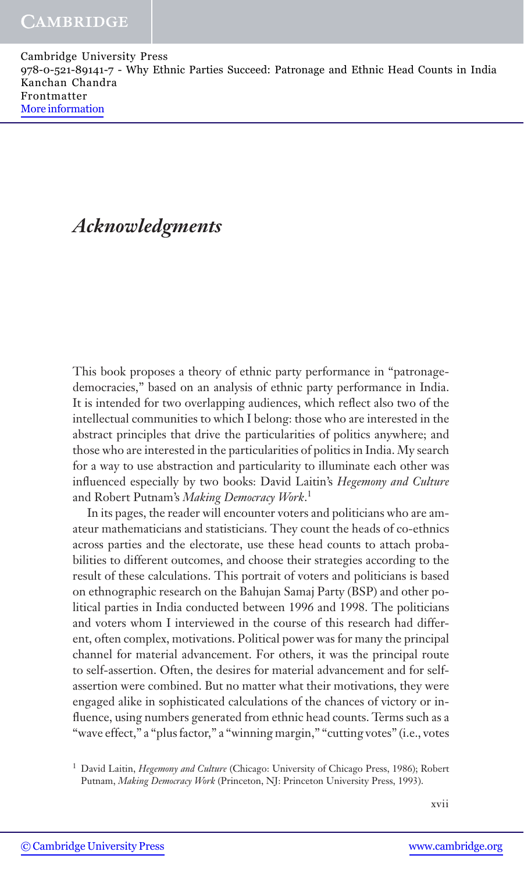# *Acknowledgments*

This book proposes a theory of ethnic party performance in "patronagedemocracies," based on an analysis of ethnic party performance in India. It is intended for two overlapping audiences, which reflect also two of the intellectual communities to which I belong: those who are interested in the abstract principles that drive the particularities of politics anywhere; and those who are interested in the particularities of politics in India. My search for a way to use abstraction and particularity to illuminate each other was influenced especially by two books: David Laitin's *Hegemony and Culture* and Robert Putnam's *Making Democracy Work*. 1

In its pages, the reader will encounter voters and politicians who are amateur mathematicians and statisticians. They count the heads of co-ethnics across parties and the electorate, use these head counts to attach probabilities to different outcomes, and choose their strategies according to the result of these calculations. This portrait of voters and politicians is based on ethnographic research on the Bahujan Samaj Party (BSP) and other political parties in India conducted between 1996 and 1998. The politicians and voters whom I interviewed in the course of this research had different, often complex, motivations. Political power was for many the principal channel for material advancement. For others, it was the principal route to self-assertion. Often, the desires for material advancement and for selfassertion were combined. But no matter what their motivations, they were engaged alike in sophisticated calculations of the chances of victory or influence, using numbers generated from ethnic head counts. Terms such as a "wave effect," a "plus factor," a "winning margin," "cutting votes" (i.e., votes

xvii

<sup>1</sup> David Laitin, *Hegemony and Culture* (Chicago: University of Chicago Press, 1986); Robert Putnam, *Making Democracy Work* (Princeton, NJ: Princeton University Press, 1993).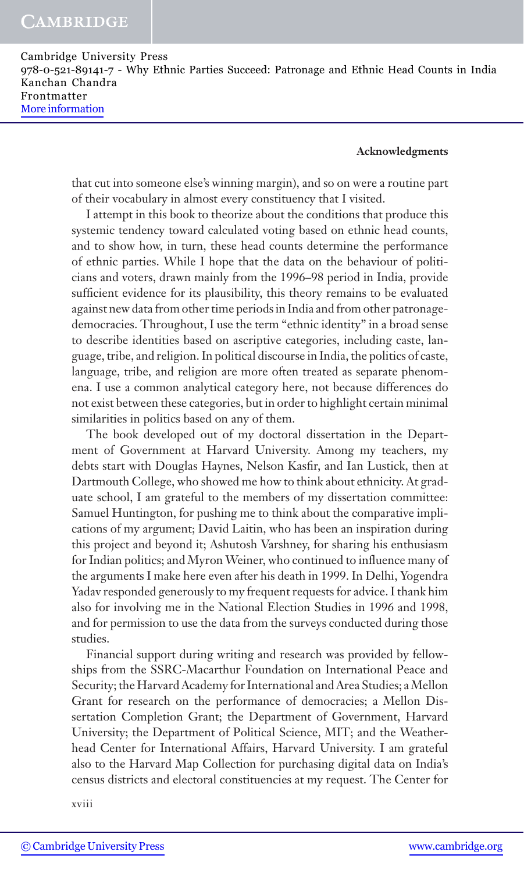#### **Acknowledgments**

that cut into someone else's winning margin), and so on were a routine part of their vocabulary in almost every constituency that I visited.

I attempt in this book to theorize about the conditions that produce this systemic tendency toward calculated voting based on ethnic head counts, and to show how, in turn, these head counts determine the performance of ethnic parties. While I hope that the data on the behaviour of politicians and voters, drawn mainly from the 1996–98 period in India, provide sufficient evidence for its plausibility, this theory remains to be evaluated against new data from other time periods in India and from other patronagedemocracies. Throughout, I use the term "ethnic identity" in a broad sense to describe identities based on ascriptive categories, including caste, language, tribe, and religion. In political discourse in India, the politics of caste, language, tribe, and religion are more often treated as separate phenomena. I use a common analytical category here, not because differences do not exist between these categories, but in order to highlight certain minimal similarities in politics based on any of them.

The book developed out of my doctoral dissertation in the Department of Government at Harvard University. Among my teachers, my debts start with Douglas Haynes, Nelson Kasfir, and Ian Lustick, then at Dartmouth College, who showed me how to think about ethnicity. At graduate school, I am grateful to the members of my dissertation committee: Samuel Huntington, for pushing me to think about the comparative implications of my argument; David Laitin, who has been an inspiration during this project and beyond it; Ashutosh Varshney, for sharing his enthusiasm for Indian politics; and Myron Weiner, who continued to influence many of the arguments I make here even after his death in 1999. In Delhi, Yogendra Yadav responded generously to my frequent requests for advice. I thank him also for involving me in the National Election Studies in 1996 and 1998, and for permission to use the data from the surveys conducted during those studies.

Financial support during writing and research was provided by fellowships from the SSRC-Macarthur Foundation on International Peace and Security; the Harvard Academy for International and Area Studies; a Mellon Grant for research on the performance of democracies; a Mellon Dissertation Completion Grant; the Department of Government, Harvard University; the Department of Political Science, MIT; and the Weatherhead Center for International Affairs, Harvard University. I am grateful also to the Harvard Map Collection for purchasing digital data on India's census districts and electoral constituencies at my request. The Center for

xviii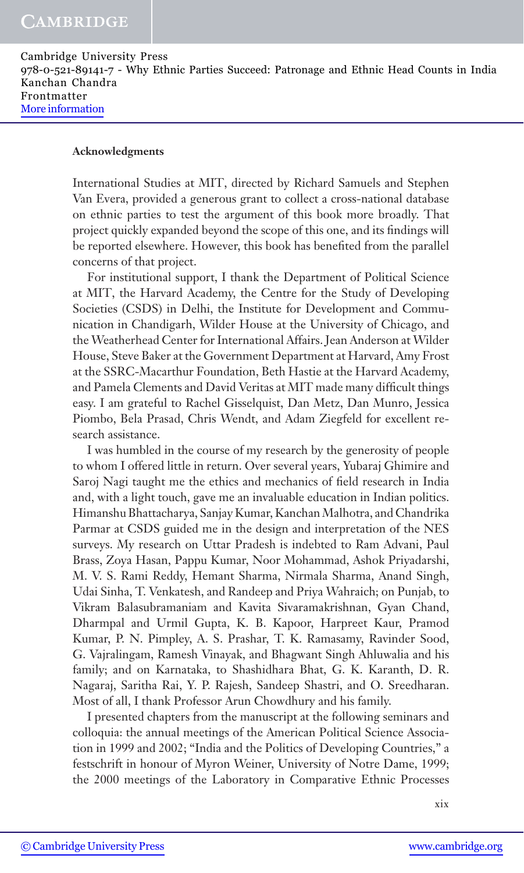#### **Acknowledgments**

International Studies at MIT, directed by Richard Samuels and Stephen Van Evera, provided a generous grant to collect a cross-national database on ethnic parties to test the argument of this book more broadly. That project quickly expanded beyond the scope of this one, and its findings will be reported elsewhere. However, this book has benefited from the parallel concerns of that project.

For institutional support, I thank the Department of Political Science at MIT, the Harvard Academy, the Centre for the Study of Developing Societies (CSDS) in Delhi, the Institute for Development and Communication in Chandigarh, Wilder House at the University of Chicago, and the Weatherhead Center for International Affairs. Jean Anderson at Wilder House, Steve Baker at the Government Department at Harvard, Amy Frost at the SSRC-Macarthur Foundation, Beth Hastie at the Harvard Academy, and Pamela Clements and David Veritas at MIT made many difficult things easy. I am grateful to Rachel Gisselquist, Dan Metz, Dan Munro, Jessica Piombo, Bela Prasad, Chris Wendt, and Adam Ziegfeld for excellent research assistance.

I was humbled in the course of my research by the generosity of people to whom I offered little in return. Over several years, Yubaraj Ghimire and Saroj Nagi taught me the ethics and mechanics of field research in India and, with a light touch, gave me an invaluable education in Indian politics. Himanshu Bhattacharya, Sanjay Kumar, Kanchan Malhotra, and Chandrika Parmar at CSDS guided me in the design and interpretation of the NES surveys. My research on Uttar Pradesh is indebted to Ram Advani, Paul Brass, Zoya Hasan, Pappu Kumar, Noor Mohammad, Ashok Priyadarshi, M. V. S. Rami Reddy, Hemant Sharma, Nirmala Sharma, Anand Singh, Udai Sinha, T. Venkatesh, and Randeep and Priya Wahraich; on Punjab, to Vikram Balasubramaniam and Kavita Sivaramakrishnan, Gyan Chand, Dharmpal and Urmil Gupta, K. B. Kapoor, Harpreet Kaur, Pramod Kumar, P. N. Pimpley, A. S. Prashar, T. K. Ramasamy, Ravinder Sood, G. Vajralingam, Ramesh Vinayak, and Bhagwant Singh Ahluwalia and his family; and on Karnataka, to Shashidhara Bhat, G. K. Karanth, D. R. Nagaraj, Saritha Rai, Y. P. Rajesh, Sandeep Shastri, and O. Sreedharan. Most of all, I thank Professor Arun Chowdhury and his family.

I presented chapters from the manuscript at the following seminars and colloquia: the annual meetings of the American Political Science Association in 1999 and 2002; "India and the Politics of Developing Countries," a festschrift in honour of Myron Weiner, University of Notre Dame, 1999; the 2000 meetings of the Laboratory in Comparative Ethnic Processes

xix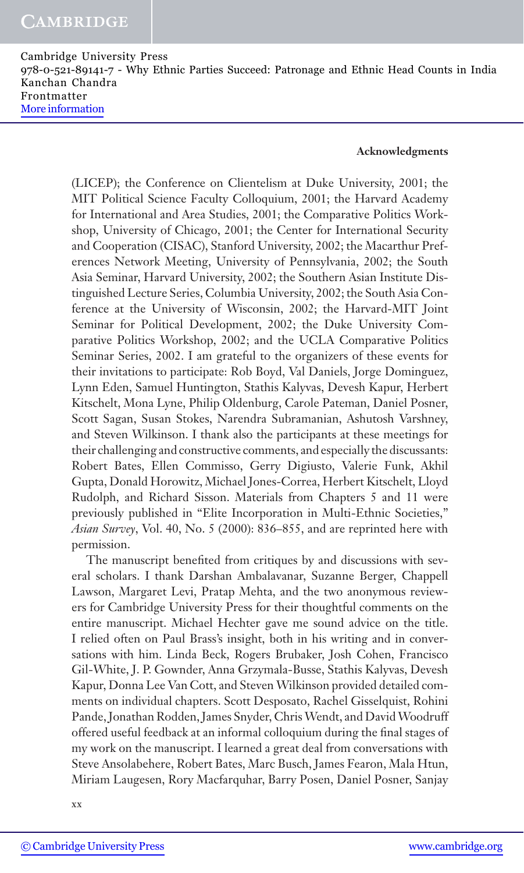#### **Acknowledgments**

(LICEP); the Conference on Clientelism at Duke University, 2001; the MIT Political Science Faculty Colloquium, 2001; the Harvard Academy for International and Area Studies, 2001; the Comparative Politics Workshop, University of Chicago, 2001; the Center for International Security and Cooperation (CISAC), Stanford University, 2002; the Macarthur Preferences Network Meeting, University of Pennsylvania, 2002; the South Asia Seminar, Harvard University, 2002; the Southern Asian Institute Distinguished Lecture Series, Columbia University, 2002; the South Asia Conference at the University of Wisconsin, 2002; the Harvard-MIT Joint Seminar for Political Development, 2002; the Duke University Comparative Politics Workshop, 2002; and the UCLA Comparative Politics Seminar Series, 2002. I am grateful to the organizers of these events for their invitations to participate: Rob Boyd, Val Daniels, Jorge Dominguez, Lynn Eden, Samuel Huntington, Stathis Kalyvas, Devesh Kapur, Herbert Kitschelt, Mona Lyne, Philip Oldenburg, Carole Pateman, Daniel Posner, Scott Sagan, Susan Stokes, Narendra Subramanian, Ashutosh Varshney, and Steven Wilkinson. I thank also the participants at these meetings for their challenging and constructive comments, and especially the discussants: Robert Bates, Ellen Commisso, Gerry Digiusto, Valerie Funk, Akhil Gupta, Donald Horowitz, Michael Jones-Correa, Herbert Kitschelt, Lloyd Rudolph, and Richard Sisson. Materials from Chapters 5 and 11 were previously published in "Elite Incorporation in Multi-Ethnic Societies," *Asian Survey*, Vol. 40, No. 5 (2000): 836–855, and are reprinted here with permission.

The manuscript benefited from critiques by and discussions with several scholars. I thank Darshan Ambalavanar, Suzanne Berger, Chappell Lawson, Margaret Levi, Pratap Mehta, and the two anonymous reviewers for Cambridge University Press for their thoughtful comments on the entire manuscript. Michael Hechter gave me sound advice on the title. I relied often on Paul Brass's insight, both in his writing and in conversations with him. Linda Beck, Rogers Brubaker, Josh Cohen, Francisco Gil-White, J. P. Gownder, Anna Grzymala-Busse, Stathis Kalyvas, Devesh Kapur, Donna Lee Van Cott, and Steven Wilkinson provided detailed comments on individual chapters. Scott Desposato, Rachel Gisselquist, Rohini Pande, Jonathan Rodden, James Snyder, Chris Wendt, and David Woodruff offered useful feedback at an informal colloquium during the final stages of my work on the manuscript. I learned a great deal from conversations with Steve Ansolabehere, Robert Bates, Marc Busch, James Fearon, Mala Htun, Miriam Laugesen, Rory Macfarquhar, Barry Posen, Daniel Posner, Sanjay

xx